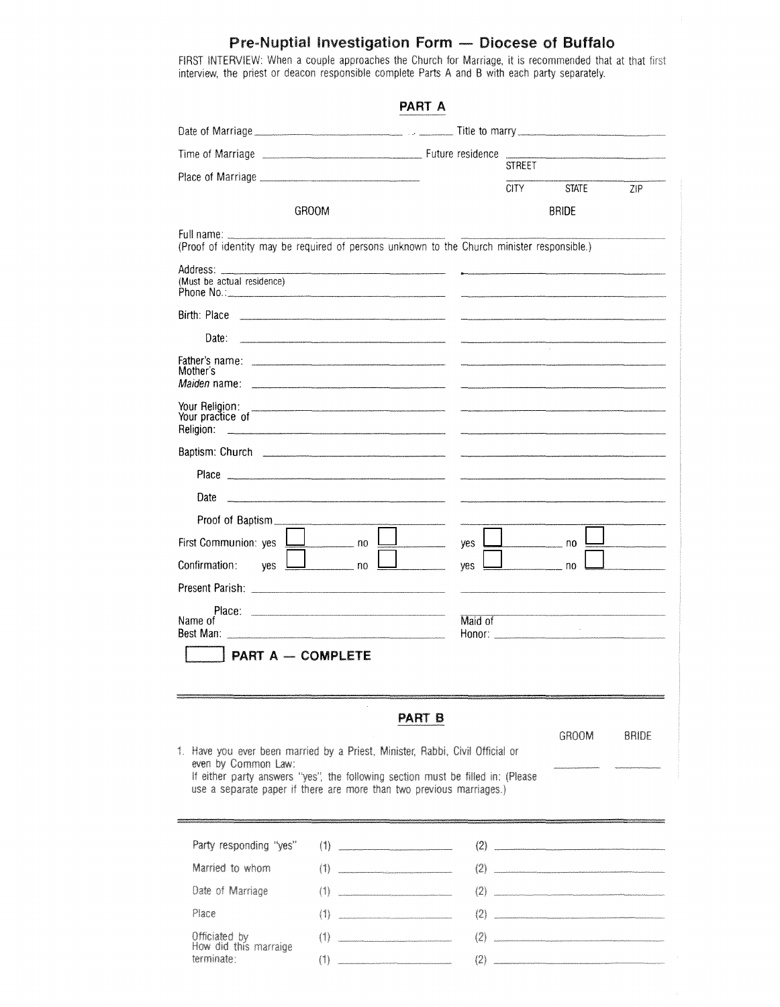## Pre-Nuptial Investigation Form - Diocese of Buffalo

FIRST INTERVIEW: When a couple approaches the Church for Marriage, it is recommended that at that interview, the priest or deacon responsible complete Parts A and B with each party

| PART A                                                                                                                                                                         |                                                                                                                                                                                                                                                                                                                                                                                                                                                                            |
|--------------------------------------------------------------------------------------------------------------------------------------------------------------------------------|----------------------------------------------------------------------------------------------------------------------------------------------------------------------------------------------------------------------------------------------------------------------------------------------------------------------------------------------------------------------------------------------------------------------------------------------------------------------------|
|                                                                                                                                                                                |                                                                                                                                                                                                                                                                                                                                                                                                                                                                            |
|                                                                                                                                                                                |                                                                                                                                                                                                                                                                                                                                                                                                                                                                            |
|                                                                                                                                                                                | <b>STREET</b>                                                                                                                                                                                                                                                                                                                                                                                                                                                              |
|                                                                                                                                                                                | CITY<br><b>STATE</b><br>ZIP<br><b>BRIDE</b>                                                                                                                                                                                                                                                                                                                                                                                                                                |
| <b>GROOM</b>                                                                                                                                                                   |                                                                                                                                                                                                                                                                                                                                                                                                                                                                            |
| Full name:<br>(Proof of identity may be required of persons unknown to the Church minister responsible.)                                                                       |                                                                                                                                                                                                                                                                                                                                                                                                                                                                            |
| (Must be actual residence)                                                                                                                                                     |                                                                                                                                                                                                                                                                                                                                                                                                                                                                            |
| Birth: Place                                                                                                                                                                   | $\label{eq:1} \begin{split} \mathcal{L}_{\text{max}}(\mathcal{L}_{\text{max}},\mathcal{L}_{\text{max}},\mathcal{L}_{\text{max}},\mathcal{L}_{\text{max}}), \end{split}$                                                                                                                                                                                                                                                                                                    |
| Date:                                                                                                                                                                          |                                                                                                                                                                                                                                                                                                                                                                                                                                                                            |
| Mother's                                                                                                                                                                       |                                                                                                                                                                                                                                                                                                                                                                                                                                                                            |
| Your Religion:<br>Your practice of<br>Religion:                                                                                                                                |                                                                                                                                                                                                                                                                                                                                                                                                                                                                            |
|                                                                                                                                                                                | $\frac{1}{2} \left( \frac{1}{2} \right) \left( \frac{1}{2} \right) \left( \frac{1}{2} \right) \left( \frac{1}{2} \right) \left( \frac{1}{2} \right) \left( \frac{1}{2} \right) \left( \frac{1}{2} \right) \left( \frac{1}{2} \right) \left( \frac{1}{2} \right) \left( \frac{1}{2} \right) \left( \frac{1}{2} \right) \left( \frac{1}{2} \right) \left( \frac{1}{2} \right) \left( \frac{1}{2} \right) \left( \frac{1}{2} \right) \left( \frac{1}{2} \right) \left( \frac$ |
|                                                                                                                                                                                |                                                                                                                                                                                                                                                                                                                                                                                                                                                                            |
| Date                                                                                                                                                                           |                                                                                                                                                                                                                                                                                                                                                                                                                                                                            |
| Proof of Baptism                                                                                                                                                               |                                                                                                                                                                                                                                                                                                                                                                                                                                                                            |
| First Communion: yes<br>$\overline{\phantom{0}}$ no                                                                                                                            | yes<br>$\sim$ no                                                                                                                                                                                                                                                                                                                                                                                                                                                           |
| Confirmation:<br>ves<br>$\overline{\phantom{a}}$ no                                                                                                                            | yes                                                                                                                                                                                                                                                                                                                                                                                                                                                                        |
|                                                                                                                                                                                |                                                                                                                                                                                                                                                                                                                                                                                                                                                                            |
| Place:<br>Name of                                                                                                                                                              | Maid of                                                                                                                                                                                                                                                                                                                                                                                                                                                                    |
| Best Man: 2008 2014 2022 2023 2024 2022 2023 2024 2022 2023 2024 2022 2023 2024 2022 2023 2024 2022 2023 2024                                                                  | Honor: __________________                                                                                                                                                                                                                                                                                                                                                                                                                                                  |
| <b>PART A - COMPLETE</b>                                                                                                                                                       |                                                                                                                                                                                                                                                                                                                                                                                                                                                                            |
| <b>PART B</b>                                                                                                                                                                  |                                                                                                                                                                                                                                                                                                                                                                                                                                                                            |
| 1. Have you ever been married by a Priest, Minister, Rabbi, Civil Official or                                                                                                  | GROOM<br><b>BRIDE</b>                                                                                                                                                                                                                                                                                                                                                                                                                                                      |
| even by Common Law:<br>If either party answers "yes", the following section must be filled in: (Please<br>use a separate paper if there are more than two previous marriages.) |                                                                                                                                                                                                                                                                                                                                                                                                                                                                            |
| Party responding "yes"<br>(1)                                                                                                                                                  | (2)                                                                                                                                                                                                                                                                                                                                                                                                                                                                        |
| Married to whom<br>$(1)$                                                                                                                                                       | (2)                                                                                                                                                                                                                                                                                                                                                                                                                                                                        |
|                                                                                                                                                                                |                                                                                                                                                                                                                                                                                                                                                                                                                                                                            |

 $(2)$ 

 $(2)$ 

 $(2)$ 

 $(2)$ 

Place Officiated by

Date of Marriage

| Officiated by<br>How did this marraige | (1) |  |
|----------------------------------------|-----|--|
| terminate:                             | (1) |  |

 $(1)$ 

and the control of the control of the control of the control of the control of the control of the control of the control of the control of the control of the control of the control of the control of the control of the cont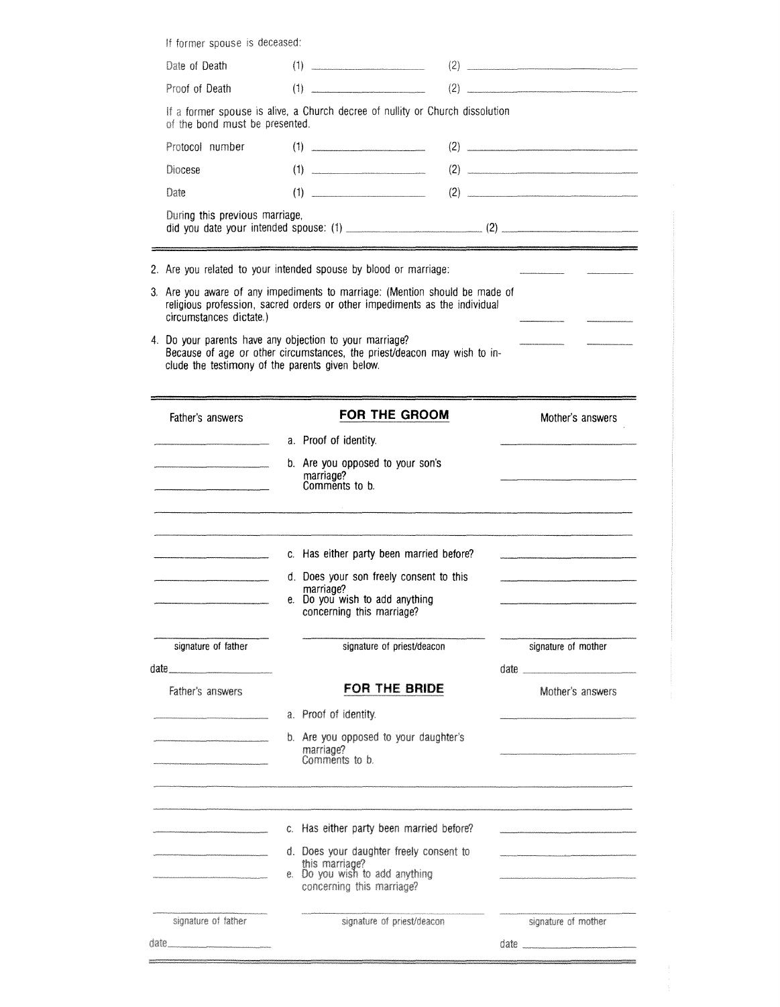|                                                                                                                      | If former spouse is deceased:                                                                                   |                                                                                                                                                           |                     |  |  |  |
|----------------------------------------------------------------------------------------------------------------------|-----------------------------------------------------------------------------------------------------------------|-----------------------------------------------------------------------------------------------------------------------------------------------------------|---------------------|--|--|--|
| Date of Death                                                                                                        |                                                                                                                 | (1)                                                                                                                                                       | (2)                 |  |  |  |
| Proof of Death                                                                                                       |                                                                                                                 | $(1) \t\t(2)$                                                                                                                                             |                     |  |  |  |
|                                                                                                                      | If a former spouse is alive, a Church decree of nullity or Church dissolution<br>of the bond must be presented. |                                                                                                                                                           |                     |  |  |  |
| Protocol number                                                                                                      |                                                                                                                 | $(1) \t\underline{\hspace{1.5cm}}$                                                                                                                        | (2)                 |  |  |  |
| Diocese                                                                                                              |                                                                                                                 | (1)                                                                                                                                                       |                     |  |  |  |
| Date                                                                                                                 |                                                                                                                 |                                                                                                                                                           |                     |  |  |  |
| During this previous marriage,                                                                                       |                                                                                                                 |                                                                                                                                                           |                     |  |  |  |
|                                                                                                                      |                                                                                                                 | 2. Are you related to your intended spouse by blood or marriage:                                                                                          |                     |  |  |  |
| circumstances dictate.)                                                                                              |                                                                                                                 | 3. Are you aware of any impediments to marriage: (Mention should be made of<br>religious profession, sacred orders or other impediments as the individual |                     |  |  |  |
| clude the testimony of the parents given below.                                                                      |                                                                                                                 | 4. Do your parents have any objection to your marriage?<br>Because of age or other circumstances, the priest/deacon may wish to in-                       |                     |  |  |  |
| Father's answers                                                                                                     |                                                                                                                 | <b>FOR THE GROOM</b>                                                                                                                                      | Mother's answers    |  |  |  |
|                                                                                                                      |                                                                                                                 | a. Proof of identity.                                                                                                                                     |                     |  |  |  |
|                                                                                                                      |                                                                                                                 | b. Are you opposed to your son's<br>marriage?                                                                                                             |                     |  |  |  |
|                                                                                                                      |                                                                                                                 | Comments to b.<br><u> 1989 - Jan James James James James James James James James James James James James James James James Jam</u>                        |                     |  |  |  |
| <u> 1989 - Johann John Harry Harry Harry Harry Harry Harry Harry Harry Harry Harry Harry Harry Harry Harry Harry</u> |                                                                                                                 | c. Has either party been married before?                                                                                                                  |                     |  |  |  |
|                                                                                                                      |                                                                                                                 | d. Does your son freely consent to this                                                                                                                   |                     |  |  |  |
|                                                                                                                      |                                                                                                                 | marriage?<br>e. Do you wish to add anything<br>concerning this marriage?                                                                                  |                     |  |  |  |
| signature of father                                                                                                  |                                                                                                                 | signature of priest/deacon                                                                                                                                | signature of mother |  |  |  |
| $date \_\_$                                                                                                          |                                                                                                                 |                                                                                                                                                           |                     |  |  |  |
| Father's answers                                                                                                     |                                                                                                                 | FOR THE BRIDE                                                                                                                                             | Mother's answers    |  |  |  |
|                                                                                                                      |                                                                                                                 | a. Proof of identity.                                                                                                                                     |                     |  |  |  |
|                                                                                                                      |                                                                                                                 | b. Are you opposed to your daughter's<br>marriage?<br>Comments to b.                                                                                      |                     |  |  |  |
|                                                                                                                      |                                                                                                                 |                                                                                                                                                           |                     |  |  |  |
|                                                                                                                      |                                                                                                                 | c. Has either party been married before?                                                                                                                  |                     |  |  |  |
|                                                                                                                      |                                                                                                                 | d. Does your daughter freely consent to                                                                                                                   |                     |  |  |  |
|                                                                                                                      |                                                                                                                 | this marriage?<br>e. Do you wish to add anything<br>concerning this marriage?                                                                             |                     |  |  |  |
| signature of father                                                                                                  |                                                                                                                 | signature of priest/deacon                                                                                                                                | signature of mother |  |  |  |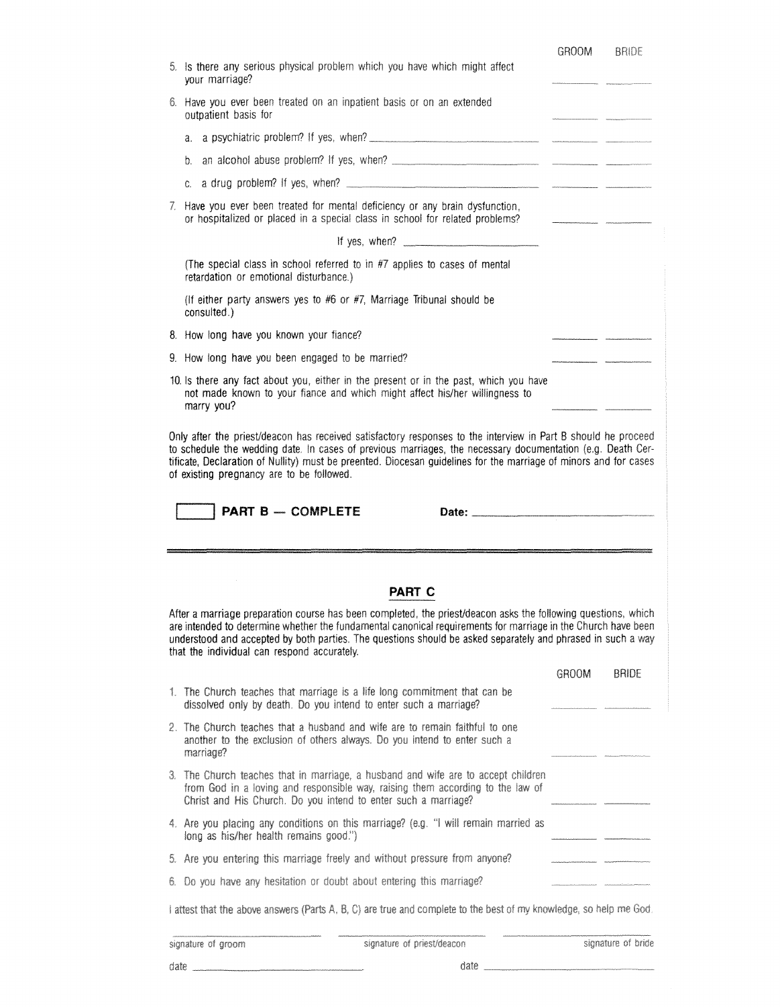|                                                                                                            | 5. Is there any serious physical problem which you have which might affect<br>your marriage?                                                                                                                                                                                                                                                  |                                                                                                                                                                                                                                                                                                                                                                                                                                                                                                                                                                                                          |              |
|------------------------------------------------------------------------------------------------------------|-----------------------------------------------------------------------------------------------------------------------------------------------------------------------------------------------------------------------------------------------------------------------------------------------------------------------------------------------|----------------------------------------------------------------------------------------------------------------------------------------------------------------------------------------------------------------------------------------------------------------------------------------------------------------------------------------------------------------------------------------------------------------------------------------------------------------------------------------------------------------------------------------------------------------------------------------------------------|--------------|
|                                                                                                            | 6. Have you ever been treated on an inpatient basis or on an extended<br>outpatient basis for                                                                                                                                                                                                                                                 |                                                                                                                                                                                                                                                                                                                                                                                                                                                                                                                                                                                                          |              |
|                                                                                                            | a.                                                                                                                                                                                                                                                                                                                                            |                                                                                                                                                                                                                                                                                                                                                                                                                                                                                                                                                                                                          |              |
|                                                                                                            | b.                                                                                                                                                                                                                                                                                                                                            |                                                                                                                                                                                                                                                                                                                                                                                                                                                                                                                                                                                                          |              |
|                                                                                                            | a drug problem? If yes, when?<br>$C_{\rm{c}}$                                                                                                                                                                                                                                                                                                 |                                                                                                                                                                                                                                                                                                                                                                                                                                                                                                                                                                                                          |              |
|                                                                                                            | 7. Have you ever been treated for mental deficiency or any brain dysfunction,<br>or hospitalized or placed in a special class in school for related problems?                                                                                                                                                                                 | $\label{eq:3} \begin{aligned} \text{minimize} \quad & \text{minimize} \quad & \text{minimize} \quad & \text{minimize} \quad & \text{minimize} \quad & \text{minimize} \quad & \text{minimize} \quad & \text{minimize} \quad & \text{minimize} \quad & \text{minimize} \quad & \text{minimize} \quad & \text{minimize} \quad & \text{minimize} \quad & \text{minimize} \quad & \text{minimize} \quad & \text{minimize} \quad & \text{minimize} \quad & \text{minimize} \quad & \text{minimize} \quad & \text{minimize} \quad & \text{minimize} \quad & \text{minimize} \quad & \text{minimize} \quad & \$ |              |
|                                                                                                            | If yes, when? $\frac{1}{2}$ is the set of the set of the set of the set of the set of the set of the set of the set of the set of the set of the set of the set of the set of the set of the set of the set of the set of the set                                                                                                             |                                                                                                                                                                                                                                                                                                                                                                                                                                                                                                                                                                                                          |              |
|                                                                                                            | (The special class in school referred to in #7 applies to cases of mental<br>retardation or emotional disturbance.)                                                                                                                                                                                                                           |                                                                                                                                                                                                                                                                                                                                                                                                                                                                                                                                                                                                          |              |
|                                                                                                            | (If either party answers yes to #6 or #7, Marriage Tribunal should be<br>consulted.)                                                                                                                                                                                                                                                          |                                                                                                                                                                                                                                                                                                                                                                                                                                                                                                                                                                                                          |              |
|                                                                                                            | 8. How long have you known your fiance?                                                                                                                                                                                                                                                                                                       |                                                                                                                                                                                                                                                                                                                                                                                                                                                                                                                                                                                                          |              |
|                                                                                                            | 9. How long have you been engaged to be married?                                                                                                                                                                                                                                                                                              |                                                                                                                                                                                                                                                                                                                                                                                                                                                                                                                                                                                                          |              |
|                                                                                                            | 10. Is there any fact about you, either in the present or in the past, which you have<br>not made known to your fiance and which might affect his/her willingness to<br>marry you?                                                                                                                                                            |                                                                                                                                                                                                                                                                                                                                                                                                                                                                                                                                                                                                          |              |
| to schedule the wedding date. In cases of previous marriages, the necessary documentation (e.g. Death Cer- | tificate, Declaration of Nullity) must be preented. Diocesan guidelines for the marriage of minors and for cases<br>of existing pregnancy are to be followed.<br><b>PART B - COMPLETE</b>                                                                                                                                                     |                                                                                                                                                                                                                                                                                                                                                                                                                                                                                                                                                                                                          |              |
|                                                                                                            | a magaalada waxaa iyo dhaqay magaalada iyo qoraalada iyo dhaqaalada waxaa ahaan ah iyo dhaqaalada waxaa lagaad<br>Magaalada iyo dhaqaala iyo dhaqaala iyo dhaqaala iyo dhaqaala iyo dhaqaala iyo dhaqaala iyo dhaqaala iyo dhaqa                                                                                                              |                                                                                                                                                                                                                                                                                                                                                                                                                                                                                                                                                                                                          |              |
|                                                                                                            | <b>PART C</b>                                                                                                                                                                                                                                                                                                                                 |                                                                                                                                                                                                                                                                                                                                                                                                                                                                                                                                                                                                          |              |
|                                                                                                            | After a marriage preparation course has been completed, the priest/deacon asks the following questions, which<br>are intended to determine whether the fundamental canonical requirements for marriage in the Church have been<br>understood and accepted by both parties. The questions should be asked separately and phrased in such a way |                                                                                                                                                                                                                                                                                                                                                                                                                                                                                                                                                                                                          |              |
|                                                                                                            | that the individual can respond accurately.                                                                                                                                                                                                                                                                                                   |                                                                                                                                                                                                                                                                                                                                                                                                                                                                                                                                                                                                          | <b>BRIDE</b> |
|                                                                                                            | 1. The Church teaches that marriage is a life long commitment that can be<br>dissolved only by death. Do you intend to enter such a marriage?                                                                                                                                                                                                 | <b>GROOM</b>                                                                                                                                                                                                                                                                                                                                                                                                                                                                                                                                                                                             |              |
|                                                                                                            | 2. The Church teaches that a husband and wife are to remain faithful to one<br>another to the exclusion of others always. Do you intend to enter such a<br>marriage?                                                                                                                                                                          |                                                                                                                                                                                                                                                                                                                                                                                                                                                                                                                                                                                                          |              |
|                                                                                                            | 3. The Church teaches that in marriage, a husband and wife are to accept children<br>from God in a loving and responsible way, raising them according to the law of<br>Christ and His Church. Do you intend to enter such a marriage?                                                                                                         |                                                                                                                                                                                                                                                                                                                                                                                                                                                                                                                                                                                                          |              |
|                                                                                                            | 4. Are you placing any conditions on this marriage? (e.g. "I will remain married as<br>long as his/her health remains good.")                                                                                                                                                                                                                 |                                                                                                                                                                                                                                                                                                                                                                                                                                                                                                                                                                                                          |              |
|                                                                                                            | 5. Are you entering this marriage freely and without pressure from anyone?                                                                                                                                                                                                                                                                    |                                                                                                                                                                                                                                                                                                                                                                                                                                                                                                                                                                                                          |              |
|                                                                                                            | 6. Do you have any hesitation or doubt about entering this marriage?                                                                                                                                                                                                                                                                          |                                                                                                                                                                                                                                                                                                                                                                                                                                                                                                                                                                                                          |              |
|                                                                                                            | I attest that the above answers (Parts A, B, C) are true and complete to the best of my knowledge, so help me God.                                                                                                                                                                                                                            |                                                                                                                                                                                                                                                                                                                                                                                                                                                                                                                                                                                                          |              |

date

 $\overline{a}$ 

date  $\_\_$